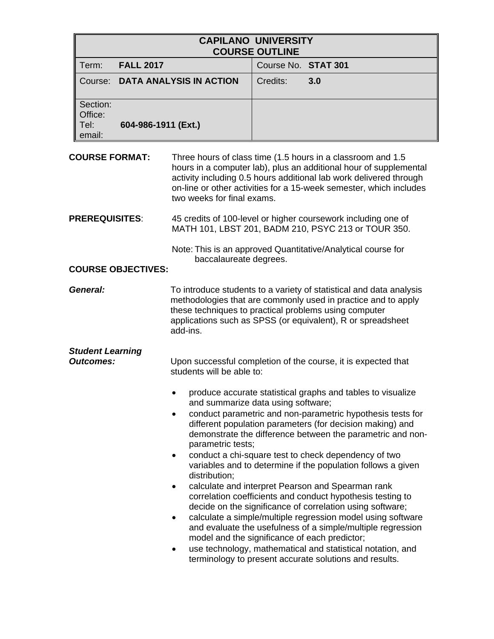| <b>CAPILANO UNIVERSITY</b><br><b>COURSE OUTLINE</b> |                     |                                 |                                                                                                                                                                                                                                                                              |     |
|-----------------------------------------------------|---------------------|---------------------------------|------------------------------------------------------------------------------------------------------------------------------------------------------------------------------------------------------------------------------------------------------------------------------|-----|
| Term:                                               | <b>FALL 2017</b>    |                                 | Course No. STAT 301                                                                                                                                                                                                                                                          |     |
|                                                     |                     | Course: DATA ANALYSIS IN ACTION | Credits:                                                                                                                                                                                                                                                                     | 3.0 |
| Section:<br>Office:<br>Tel: l<br>email:             | 604-986-1911 (Ext.) |                                 |                                                                                                                                                                                                                                                                              |     |
| <b>COURSE FORMAT:</b><br>two weeks for final exams. |                     |                                 | Three hours of class time (1.5 hours in a classroom and 1.5<br>hours in a computer lab), plus an additional hour of supplemental<br>activity including 0.5 hours additional lab work delivered through<br>on-line or other activities for a 15-week semester, which includes |     |
| DDEDEAI IICITEC·                                    |                     |                                 | 15 cradite of 100 lovel or bigher coursework including and of                                                                                                                                                                                                                |     |

**PREREQUISITES**: 45 credits of 100-level or higher coursework including one of MATH 101, LBST 201, BADM 210, PSYC 213 or TOUR 350.

> Note: This is an approved Quantitative/Analytical course for baccalaureate degrees.

#### **COURSE OBJECTIVES:**

**General:** To introduce students to a variety of statistical and data analysis methodologies that are commonly used in practice and to apply these techniques to practical problems using computer applications such as SPSS (or equivalent), R or spreadsheet add-ins.

# *Student Learning*

**Outcomes:** Upon successful completion of the course, it is expected that students will be able to:

- produce accurate statistical graphs and tables to visualize and summarize data using software;
- conduct parametric and non-parametric hypothesis tests for different population parameters (for decision making) and demonstrate the difference between the parametric and nonparametric tests;
- conduct a chi-square test to check dependency of two variables and to determine if the population follows a given distribution;
- calculate and interpret Pearson and Spearman rank correlation coefficients and conduct hypothesis testing to decide on the significance of correlation using software;
- calculate a simple/multiple regression model using software and evaluate the usefulness of a simple/multiple regression model and the significance of each predictor;
- use technology, mathematical and statistical notation, and terminology to present accurate solutions and results.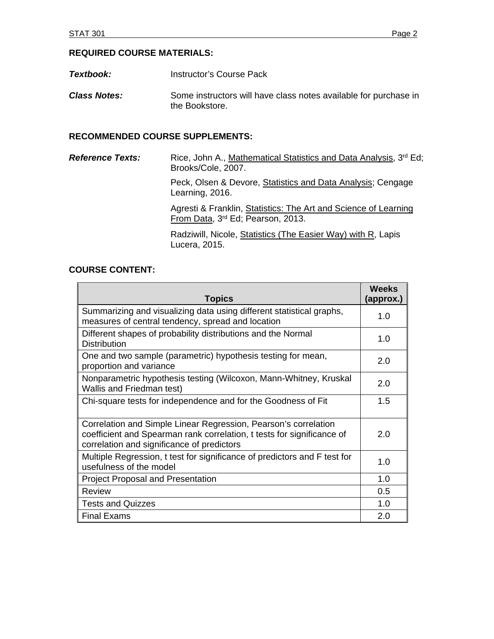## **REQUIRED COURSE MATERIALS:**

- **Textbook:** Instructor's Course Pack
- **Class Notes:** Some instructors will have class notes available for purchase in the Bookstore.

## **RECOMMENDED COURSE SUPPLEMENTS:**

*Reference Texts:* Rice, John A., Mathematical Statistics and Data Analysis, 3<sup>rd</sup> Ed; Brooks/Cole, 2007.

> Peck, Olsen & Devore, Statistics and Data Analysis; Cengage Learning, 2016.

> Agresti & Franklin, Statistics: The Art and Science of Learning From Data, 3<sup>rd</sup> Ed; Pearson, 2013.

 Radziwill, Nicole, Statistics (The Easier Way) with R, Lapis Lucera, 2015.

## **COURSE CONTENT:**

| <b>Topics</b>                                                                                                                                                                           | <b>Weeks</b><br>(approx.) |
|-----------------------------------------------------------------------------------------------------------------------------------------------------------------------------------------|---------------------------|
| Summarizing and visualizing data using different statistical graphs,<br>measures of central tendency, spread and location                                                               | 1. $\Omega$               |
| Different shapes of probability distributions and the Normal<br><b>Distribution</b>                                                                                                     | 1.0                       |
| One and two sample (parametric) hypothesis testing for mean,<br>proportion and variance                                                                                                 | 2.0                       |
| Nonparametric hypothesis testing (Wilcoxon, Mann-Whitney, Kruskal<br>Wallis and Friedman test)                                                                                          | 2.0                       |
| Chi-square tests for independence and for the Goodness of Fit                                                                                                                           | 1.5                       |
| Correlation and Simple Linear Regression, Pearson's correlation<br>coefficient and Spearman rank correlation, t tests for significance of<br>correlation and significance of predictors | 2.0                       |
| Multiple Regression, t test for significance of predictors and F test for<br>usefulness of the model                                                                                    | 1.0                       |
| <b>Project Proposal and Presentation</b>                                                                                                                                                | 1.0                       |
| <b>Review</b>                                                                                                                                                                           | 0.5                       |
| <b>Tests and Quizzes</b>                                                                                                                                                                | 1.0                       |
| <b>Final Exams</b>                                                                                                                                                                      | 2.0                       |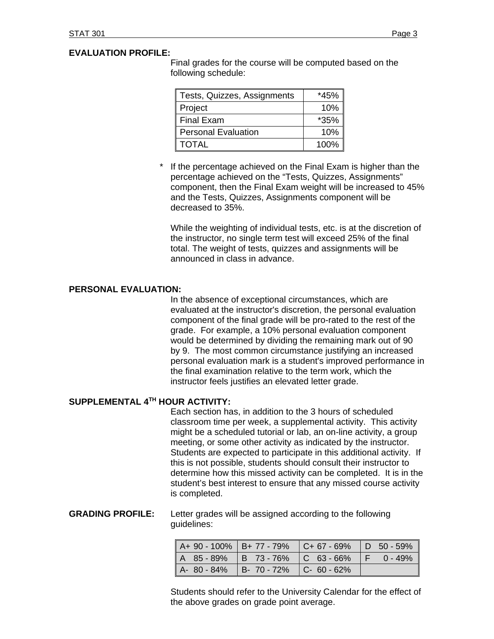## **EVALUATION PROFILE:**

Final grades for the course will be computed based on the following schedule:

| Tests, Quizzes, Assignments | *45%    |
|-----------------------------|---------|
| Project                     | 10%     |
| <b>Final Exam</b>           | $*35\%$ |
| Personal Evaluation         | 10%     |
| <b>TOTAL</b>                | 100%    |

If the percentage achieved on the Final Exam is higher than the percentage achieved on the "Tests, Quizzes, Assignments" component, then the Final Exam weight will be increased to 45% and the Tests, Quizzes, Assignments component will be decreased to 35%.

 While the weighting of individual tests, etc. is at the discretion of the instructor, no single term test will exceed 25% of the final total. The weight of tests, quizzes and assignments will be announced in class in advance.

#### **PERSONAL EVALUATION:**

In the absence of exceptional circumstances, which are evaluated at the instructor's discretion, the personal evaluation component of the final grade will be pro-rated to the rest of the grade. For example, a 10% personal evaluation component would be determined by dividing the remaining mark out of 90 by 9. The most common circumstance justifying an increased personal evaluation mark is a student's improved performance in the final examination relative to the term work, which the instructor feels justifies an elevated letter grade.

#### **SUPPLEMENTAL 4TH HOUR ACTIVITY:**

 Each section has, in addition to the 3 hours of scheduled classroom time per week, a supplemental activity. This activity might be a scheduled tutorial or lab, an on-line activity, a group meeting, or some other activity as indicated by the instructor. Students are expected to participate in this additional activity. If this is not possible, students should consult their instructor to determine how this missed activity can be completed. It is in the student's best interest to ensure that any missed course activity is completed.

**GRADING PROFILE:** Letter grades will be assigned according to the following guidelines:

|  |                                                             | $A+90-100\%$   B+ 77 - 79%   C+ 67 - 69%   D 50 - 59% |  |
|--|-------------------------------------------------------------|-------------------------------------------------------|--|
|  |                                                             | $A$ 85-89% B 73-76% C 63-66% F 0-49%                  |  |
|  | $\vert$ A- 80 - 84% $\vert$ B- 70 - 72% $\vert$ C- 60 - 62% |                                                       |  |

Students should refer to the University Calendar for the effect of the above grades on grade point average.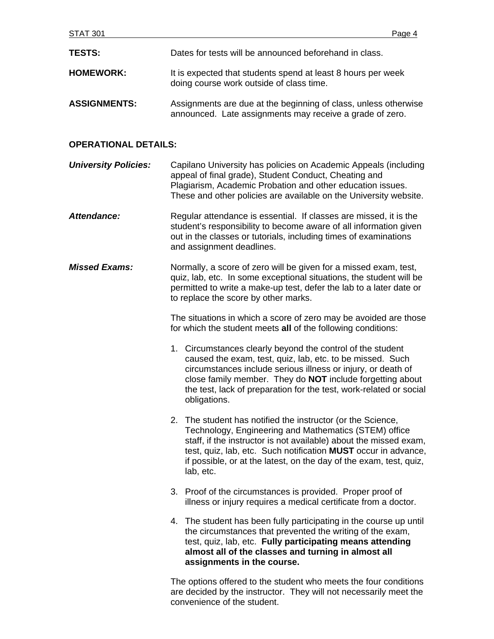| <b>TESTS:</b>               | Dates for tests will be announced beforehand in class.                                                                                                                                                                                                                                                                                            |  |
|-----------------------------|---------------------------------------------------------------------------------------------------------------------------------------------------------------------------------------------------------------------------------------------------------------------------------------------------------------------------------------------------|--|
| <b>HOMEWORK:</b>            | It is expected that students spend at least 8 hours per week<br>doing course work outside of class time.                                                                                                                                                                                                                                          |  |
| <b>ASSIGNMENTS:</b>         | Assignments are due at the beginning of class, unless otherwise<br>announced. Late assignments may receive a grade of zero.                                                                                                                                                                                                                       |  |
| <b>OPERATIONAL DETAILS:</b> |                                                                                                                                                                                                                                                                                                                                                   |  |
| <b>University Policies:</b> | Capilano University has policies on Academic Appeals (including<br>appeal of final grade), Student Conduct, Cheating and<br>Plagiarism, Academic Probation and other education issues.<br>These and other policies are available on the University website.                                                                                       |  |
| <b>Attendance:</b>          | Regular attendance is essential. If classes are missed, it is the<br>student's responsibility to become aware of all information given<br>out in the classes or tutorials, including times of examinations<br>and assignment deadlines.                                                                                                           |  |
| <b>Missed Exams:</b>        | Normally, a score of zero will be given for a missed exam, test,<br>quiz, lab, etc. In some exceptional situations, the student will be<br>permitted to write a make-up test, defer the lab to a later date or<br>to replace the score by other marks.                                                                                            |  |
|                             | The situations in which a score of zero may be avoided are those<br>for which the student meets all of the following conditions:                                                                                                                                                                                                                  |  |
|                             | 1. Circumstances clearly beyond the control of the student<br>caused the exam, test, quiz, lab, etc. to be missed. Such<br>circumstances include serious illness or injury, or death of<br>close family member. They do <b>NOT</b> include forgetting about<br>the test, lack of preparation for the test, work-related or social<br>obligations. |  |
|                             | 2. The student has notified the instructor (or the Science,<br>Technology, Engineering and Mathematics (STEM) office<br>staff, if the instructor is not available) about the missed exam,<br>test, quiz, lab, etc. Such notification MUST occur in advance,<br>if possible, or at the latest, on the day of the exam, test, quiz,<br>lab, etc.    |  |
|                             | 3. Proof of the circumstances is provided. Proper proof of<br>illness or injury requires a medical certificate from a doctor.                                                                                                                                                                                                                     |  |
|                             | 4. The student has been fully participating in the course up until<br>the circumstances that prevented the writing of the exam,<br>test, quiz, lab, etc. Fully participating means attending<br>almost all of the classes and turning in almost all<br>assignments in the course.                                                                 |  |
|                             |                                                                                                                                                                                                                                                                                                                                                   |  |

The options offered to the student who meets the four conditions are decided by the instructor. They will not necessarily meet the convenience of the student.